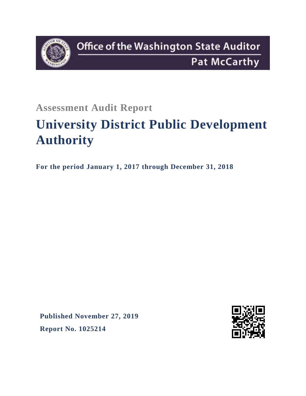

**Assessment Audit Report**

# **University District Public Development Authority**

**For the period January 1, 2017 through December 31, 2018**

**Published November 27, 2019 Report No. 1025214**

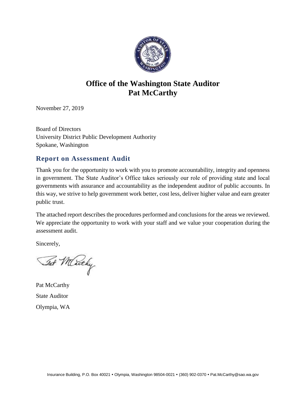

# **Office of the Washington State Auditor Pat McCarthy**

November 27, 2019

Board of Directors University District Public Development Authority Spokane, Washington

# **Report on Assessment Audit**

Thank you for the opportunity to work with you to promote accountability, integrity and openness in government. The State Auditor's Office takes seriously our role of providing state and local governments with assurance and accountability as the independent auditor of public accounts. In this way, we strive to help government work better, cost less, deliver higher value and earn greater public trust.

The attached report describes the procedures performed and conclusions for the areas we reviewed. We appreciate the opportunity to work with your staff and we value your cooperation during the assessment audit.

Sincerely,

Tat Mickely

Pat McCarthy State Auditor Olympia, WA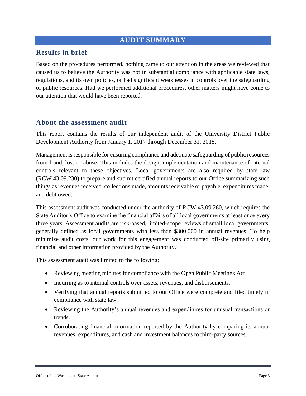#### **AUDIT SUMMARY**

#### **Results in brief**

Based on the procedures performed, nothing came to our attention in the areas we reviewed that caused us to believe the Authority was not in substantial compliance with applicable state laws, regulations, and its own policies, or had significant weaknesses in controls over the safeguarding of public resources. Had we performed additional procedures, other matters might have come to our attention that would have been reported.

#### **About the assessment audit**

This report contains the results of our independent audit of the University District Public Development Authority from January 1, 2017 through December 31, 2018.

Management is responsible for ensuring compliance and adequate safeguarding of public resources from fraud, loss or abuse. This includes the design, implementation and maintenance of internal controls relevant to these objectives. Local governments are also required by state law (RCW 43.09.230) to prepare and submit certified annual reports to our Office summarizing such things as revenues received, collections made, amounts receivable or payable, expenditures made, and debt owed.

This assessment audit was conducted under the authority of RCW 43.09.260, which requires the State Auditor's Office to examine the financial affairs of all local governments at least once every three years. Assessment audits are risk-based, limited-scope reviews of small local governments, generally defined as local governments with less than \$300,000 in annual revenues. To help minimize audit costs, our work for this engagement was conducted off-site primarily using financial and other information provided by the Authority.

This assessment audit was limited to the following:

- Reviewing meeting minutes for compliance with the Open Public Meetings Act.
- Inquiring as to internal controls over assets, revenues, and disbursements.
- Verifying that annual reports submitted to our Office were complete and filed timely in compliance with state law.
- Reviewing the Authority's annual revenues and expenditures for unusual transactions or trends.
- Corroborating financial information reported by the Authority by comparing its annual revenues, expenditures, and cash and investment balances to third-party sources.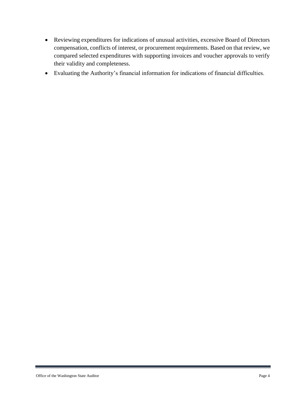- Reviewing expenditures for indications of unusual activities, excessive Board of Directors compensation, conflicts of interest, or procurement requirements. Based on that review, we compared selected expenditures with supporting invoices and voucher approvals to verify their validity and completeness.
- Evaluating the Authority's financial information for indications of financial difficulties.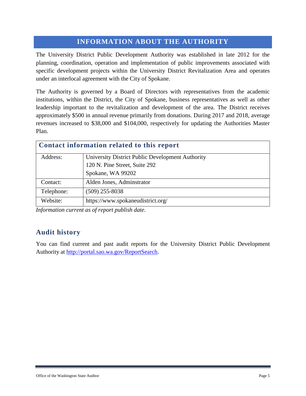# **INFORMATION ABOUT THE AUTHORITY**

The University District Public Development Authority was established in late 2012 for the planning, coordination, operation and implementation of public improvements associated with specific development projects within the University District Revitalization Area and operates under an interlocal agreement with the City of Spokane.

The Authority is governed by a Board of Directors with representatives from the academic institutions, within the District, the City of Spokane, business representatives as well as other leadership important to the revitalization and development of the area. The District receives approximately \$500 in annual revenue primarily from donations. During 2017 and 2018, average revenues increased to \$38,000 and \$104,000, respectively for updating the Authorities Master Plan.

| Contact information related to this report |                                                  |  |
|--------------------------------------------|--------------------------------------------------|--|
| Address:                                   | University District Public Development Authority |  |
|                                            | 120 N. Pine Street, Suite 292                    |  |
|                                            | Spokane, WA 99202                                |  |
| Contact:                                   | Alden Jones, Adminstrator                        |  |
| Telephone:                                 | $(509)$ 255-8038                                 |  |
| Website:                                   | https://www.spokaneudistrict.org/                |  |

*Information current as of report publish date.*

### **Audit history**

You can find current and past audit reports for the University District Public Development Authority at [http://portal.sao.wa.gov/ReportSearch.](http://portal.sao.wa.gov/ReportSearch/?qItemType=1&qItemDesc=University%20District%20Public%20Development%20Authority&qItemValue=3072)